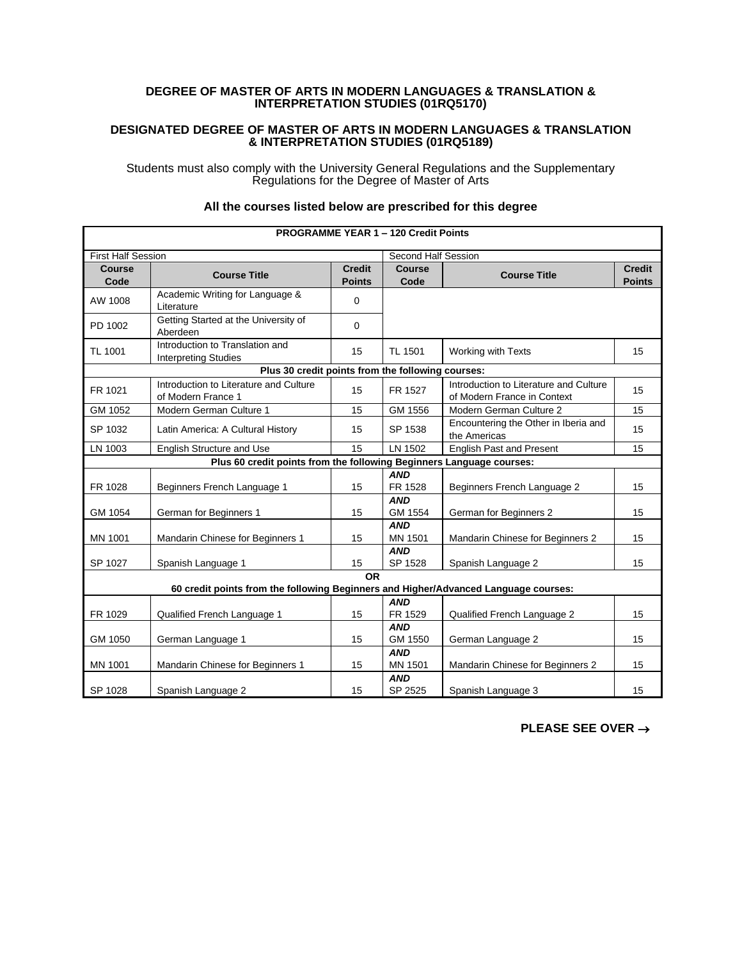## **DEGREE OF MASTER OF ARTS IN MODERN LANGUAGES & TRANSLATION & INTERPRETATION STUDIES (01RQ5170)**

## **DESIGNATED DEGREE OF MASTER OF ARTS IN MODERN LANGUAGES & TRANSLATION & INTERPRETATION STUDIES (01RQ5189)**

Students must also comply with the University General Regulations and the Supplementary Regulations for the Degree of Master of Arts

| <b>PROGRAMME YEAR 1 - 120 Credit Points</b>                          |                                                                                     |                                |                       |                                                                       |                                |  |  |
|----------------------------------------------------------------------|-------------------------------------------------------------------------------------|--------------------------------|-----------------------|-----------------------------------------------------------------------|--------------------------------|--|--|
| <b>First Half Session</b>                                            |                                                                                     | Second Half Session            |                       |                                                                       |                                |  |  |
| <b>Course</b><br>Code                                                | <b>Course Title</b>                                                                 | <b>Credit</b><br><b>Points</b> | <b>Course</b><br>Code | <b>Course Title</b>                                                   | <b>Credit</b><br><b>Points</b> |  |  |
| AW 1008                                                              | Academic Writing for Language &<br>Literature                                       | 0                              |                       |                                                                       |                                |  |  |
| PD 1002                                                              | Getting Started at the University of<br>Aberdeen                                    | 0                              |                       |                                                                       |                                |  |  |
| TL 1001                                                              | Introduction to Translation and<br><b>Interpreting Studies</b>                      | 15                             | TL 1501               | Working with Texts                                                    | 15                             |  |  |
|                                                                      | Plus 30 credit points from the following courses:                                   |                                |                       |                                                                       |                                |  |  |
| FR 1021                                                              | Introduction to Literature and Culture<br>of Modern France 1                        | 15                             | FR 1527               | Introduction to Literature and Culture<br>of Modern France in Context | 15                             |  |  |
| GM 1052                                                              | Modern German Culture 1                                                             | 15                             | GM 1556               | Modern German Culture 2                                               | 15                             |  |  |
| SP 1032                                                              | Latin America: A Cultural History                                                   | 15                             | SP 1538               | Encountering the Other in Iberia and<br>the Americas                  | 15                             |  |  |
| LN 1003                                                              | English Structure and Use                                                           | 15                             | LN 1502               | English Past and Present                                              | 15                             |  |  |
| Plus 60 credit points from the following Beginners Language courses: |                                                                                     |                                |                       |                                                                       |                                |  |  |
|                                                                      |                                                                                     |                                | <b>AND</b>            |                                                                       |                                |  |  |
| FR 1028                                                              | Beginners French Language 1                                                         | 15                             | FR 1528               | Beginners French Language 2                                           | 15                             |  |  |
| GM 1054                                                              | German for Beginners 1                                                              | 15                             | <b>AND</b><br>GM 1554 | German for Beginners 2                                                | 15                             |  |  |
| MN 1001                                                              | Mandarin Chinese for Beginners 1                                                    | 15                             | <b>AND</b><br>MN 1501 | Mandarin Chinese for Beginners 2                                      | 15                             |  |  |
| SP 1027                                                              | Spanish Language 1                                                                  | 15                             | <b>AND</b><br>SP 1528 | Spanish Language 2                                                    | 15                             |  |  |
|                                                                      | 60 credit points from the following Beginners and Higher/Advanced Language courses: | <b>OR</b>                      |                       |                                                                       |                                |  |  |
| FR 1029                                                              | Qualified French Language 1                                                         | 15                             | <b>AND</b><br>FR 1529 | Qualified French Language 2                                           | 15                             |  |  |
| GM 1050                                                              | German Language 1                                                                   | 15                             | <b>AND</b><br>GM 1550 | German Language 2                                                     | 15                             |  |  |
| MN 1001                                                              | Mandarin Chinese for Beginners 1                                                    | 15                             | <b>AND</b><br>MN 1501 | Mandarin Chinese for Beginners 2                                      | 15                             |  |  |
| SP 1028                                                              | Spanish Language 2                                                                  | 15                             | <b>AND</b><br>SP 2525 | Spanish Language 3                                                    | 15                             |  |  |

## **All the courses listed below are prescribed for this degree**

**PLEASE SEE OVER** →